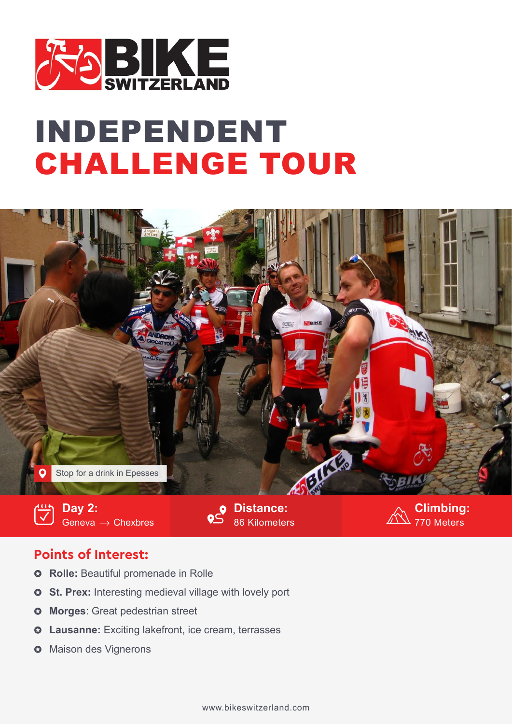

## INDEPENDENT CHALLENGE TOUR



770 Meters

## **Points of Interest:**

- **Rolle:** Beautiful promenade in Rolle  $\bullet$
- **St. Prex:** Interesting medieval village with lovely port  $\Omega$
- **Morges**: Great pedestrian street  $\bullet$
- **Lausanne:** Exciting lakefront, ice cream, terrasses  $\bullet$
- **O** Maison des Vignerons